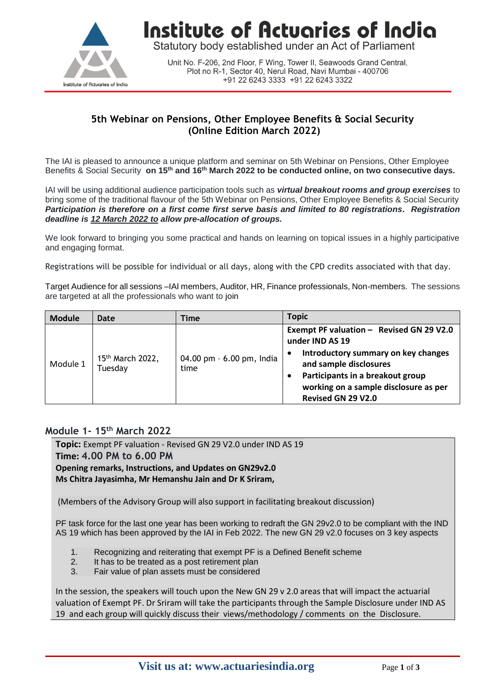

Institute of Actuaries of India

Statutory body established under an Act of Parliament

Unit No. F-206, 2nd Floor, F Wing, Tower II, Seawoods Grand Central, Plot no R-1, Sector 40, Nerul Road, Navi Mumbai - 400706 +91 22 6243 3333 +91 22 6243 3322

### **5th Webinar on Pensions, Other Employee Benefits & Social Security (Online Edition March 2022)**

The IAI is pleased to announce a unique platform and seminar on 5th Webinar on Pensions, Other Employee Benefits & Social Security **on 15th and 16th March 2022 to be conducted online, on two consecutive days.** 

IAI will be using additional audience participation tools such as *virtual breakout rooms and group exercises* to bring some of the traditional flavour of the 5th Webinar on Pensions, Other Employee Benefits & Social Security *Participation is therefore on a first come first serve basis and limited to 80 registrations. Registration deadline is 12 March 2022 to allow pre-allocation of groups.*

We look forward to bringing you some practical and hands on learning on topical issues in a highly participative and engaging format.

Registrations will be possible for individual or all days, along with the CPD credits associated with that day.

Target Audience for all sessions –IAI members, Auditor, HR, Finance professionals, Non-members. The sessions are targeted at all the professionals who want to join

| <b>Module</b> | Date                                    | Time                              | <b>Topic</b>                                                                                                                                                                                                                                 |
|---------------|-----------------------------------------|-----------------------------------|----------------------------------------------------------------------------------------------------------------------------------------------------------------------------------------------------------------------------------------------|
| Module 1      | 15 <sup>th</sup> March 2022,<br>Tuesday | 04.00 pm - 6.00 pm, India<br>time | Exempt PF valuation - Revised GN 29 V2.0<br>under IND AS 19<br>Introductory summary on key changes<br>$\bullet$<br>and sample disclosures<br>Participants in a breakout group<br>working on a sample disclosure as per<br>Revised GN 29 V2.0 |

#### **Module 1- 15th March 2022**

**Topic:** Exempt PF valuation - Revised GN 29 V2.0 under IND AS 19 **Time: 4.00 PM to 6.00 PM Opening remarks, Instructions, and Updates on GN29v2.0 Ms Chitra Jayasimha, Mr Hemanshu Jain and Dr K Sriram,**

(Members of the Advisory Group will also support in facilitating breakout discussion)

PF task force for the last one year has been working to redraft the GN 29v2.0 to be compliant with the IND AS 19 which has been approved by the IAI in Feb 2022. The new GN 29 v2.0 focuses on 3 key aspects

- 1. Recognizing and reiterating that exempt PF is a Defined Benefit scheme
- 2. It has to be treated as a post retirement plan
- 3. Fair value of plan assets must be considered

In the session, the speakers will touch upon the New GN 29 v 2.0 areas that will impact the actuarial valuation of Exempt PF. Dr Sriram will take the participants through the Sample Disclosure under IND AS 19 and each group will quickly discuss their views/methodology / comments on the Disclosure.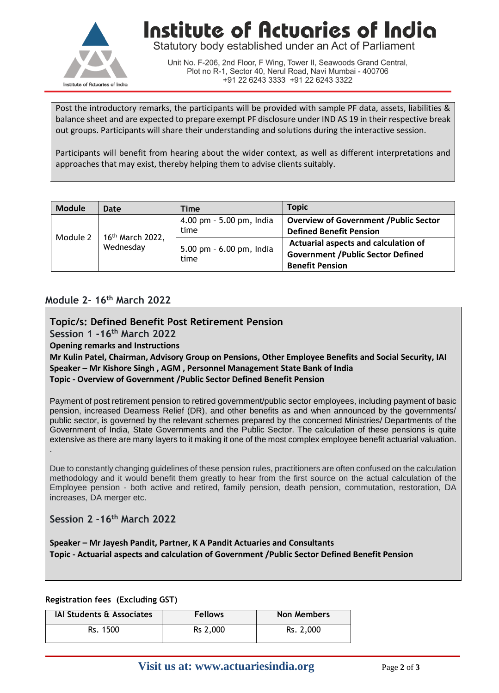

## **Institute of Actuaries of India**

Statutory body established under an Act of Parliament

Unit No. F-206, 2nd Floor, F Wing, Tower II, Seawoods Grand Central, Plot no R-1, Sector 40, Nerul Road, Navi Mumbai - 400706 +91 22 6243 3333 +91 22 6243 3322

Post the introductory remarks, the participants will be provided with sample PF data, assets, liabilities & balance sheet and are expected to prepare exempt PF disclosure under IND AS 19 in their respective break out groups. Participants will share their understanding and solutions during the interactive session.

Participants will benefit from hearing about the wider context, as well as different interpretations and approaches that may exist, thereby helping them to advise clients suitably.

| <b>Module</b> | Date                                      | Time                             | <b>Topic</b>                                  |
|---------------|-------------------------------------------|----------------------------------|-----------------------------------------------|
| Module 2      | 16 <sup>th</sup> March 2022,<br>Wednesday | 4.00 pm - 5.00 pm, India         | <b>Overview of Government / Public Sector</b> |
|               |                                           | time                             | <b>Defined Benefit Pension</b>                |
|               |                                           | 5.00 pm - 6.00 pm, India<br>time | Actuarial aspects and calculation of          |
|               |                                           |                                  | <b>Government / Public Sector Defined</b>     |
|               |                                           |                                  | <b>Benefit Pension</b>                        |

#### **Module 2- 16th March 2022**

**Topic/s: Defined Benefit Post Retirement Pension** 

**Session 1 -16th March 2022**

**Opening remarks and Instructions**

**Mr Kulin Patel, Chairman, Advisory Group on Pensions, Other Employee Benefits and Social Security, IAI Speaker – Mr Kishore Singh , AGM , Personnel Management State Bank of India Topic - Overview of Government /Public Sector Defined Benefit Pension** 

Payment of post retirement pension to retired government/public sector employees, including payment of basic pension, increased Dearness Relief (DR), and other benefits as and when announced by the governments/ public sector, is governed by the relevant schemes prepared by the concerned Ministries/ Departments of the Government of India, State Governments and the Public Sector. The calculation of these pensions is quite extensive as there are many layers to it making it one of the most complex employee benefit actuarial valuation. .

Due to constantly changing guidelines of these pension rules, practitioners are often confused on the calculation methodology and it would benefit them greatly to hear from the first source on the actual calculation of the Employee pension - both active and retired, family pension, death pension, commutation, restoration, DA increases, DA merger etc.

**Session 2 -16th March 2022**

**Speaker – Mr Jayesh Pandit, Partner, K A Pandit Actuaries and Consultants Topic - Actuarial aspects and calculation of Government /Public Sector Defined Benefit Pension** 

#### **Registration fees (Excluding GST)**

| <b>IAI Students &amp; Associates</b> | <b>Fellows</b> | <b>Non Members</b> |
|--------------------------------------|----------------|--------------------|
| Rs. 1500                             | Rs 2,000       | Rs. 2,000          |